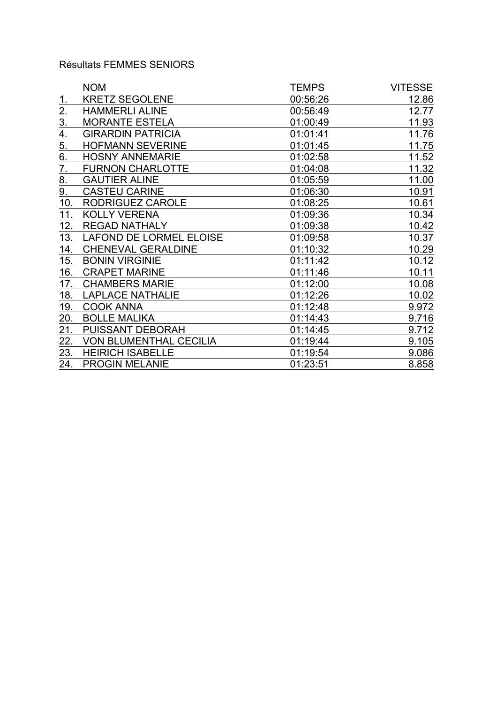## Résultats FEMMES SENIORS

|                  | <b>NOM</b>                    | <b>TEMPS</b> | <b>VITESSE</b> |
|------------------|-------------------------------|--------------|----------------|
| 1.               | <b>KRETZ SEGOLENE</b>         | 00:56:26     | 12.86          |
| 2.               | <b>HAMMERLI ALINE</b>         | 00:56:49     | 12.77          |
| $\overline{3}$ . | <b>MORANTE ESTELA</b>         | 01:00:49     | 11.93          |
| 4.               | <b>GIRARDIN PATRICIA</b>      | 01:01:41     | 11.76          |
| 5.               | <b>HOFMANN SEVERINE</b>       | 01:01:45     | 11.75          |
| 6.               | <b>HOSNY ANNEMARIE</b>        | 01:02:58     | 11.52          |
| 7.               | <b>FURNON CHARLOTTE</b>       | 01:04:08     | 11.32          |
| 8.               | <b>GAUTIER ALINE</b>          | 01:05:59     | 11.00          |
| 9.               | <b>CASTEU CARINE</b>          | 01:06:30     | 10.91          |
| 10.              | RODRIGUEZ CAROLE              | 01:08:25     | 10.61          |
| 11.              | <b>KOLLY VERENA</b>           | 01:09:36     | 10.34          |
| 12.              | <b>REGAD NATHALY</b>          | 01:09:38     | 10.42          |
| 13.              | LAFOND DE LORMEL ELOISE       | 01:09:58     | 10.37          |
| 14.              | <b>CHENEVAL GERALDINE</b>     | 01:10:32     | 10.29          |
| 15.              | <b>BONIN VIRGINIE</b>         | 01:11:42     | 10.12          |
| 16.              | <b>CRAPET MARINE</b>          | 01:11:46     | 10.11          |
| 17.              | <b>CHAMBERS MARIE</b>         | 01:12:00     | 10.08          |
| 18.              | <b>LAPLACE NATHALIE</b>       | 01:12:26     | 10.02          |
| 19.              | <b>COOK ANNA</b>              | 01:12:48     | 9.972          |
| 20.              | <b>BOLLE MALIKA</b>           | 01:14:43     | 9.716          |
| 21.              | <b>PUISSANT DEBORAH</b>       | 01:14:45     | 9.712          |
| 22.              | <b>VON BLUMENTHAL CECILIA</b> | 01:19:44     | 9.105          |
| 23.              | <b>HEIRICH ISABELLE</b>       | 01:19:54     | 9.086          |
| 24.              | <b>PROGIN MELANIE</b>         | 01:23:51     | 8.858          |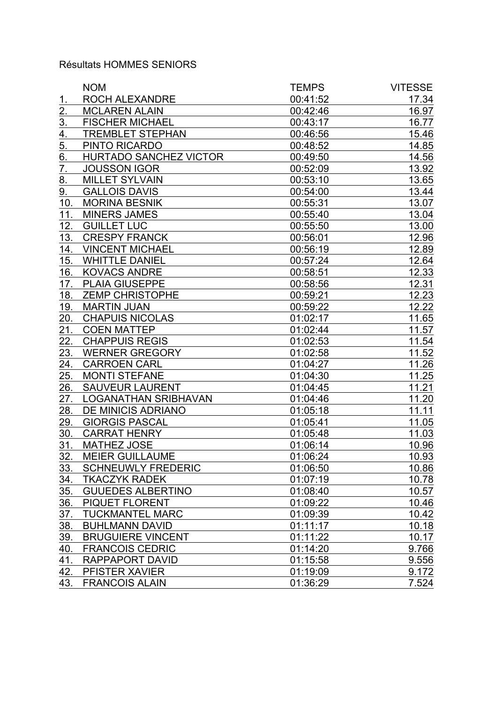#### Résultats HOMMES SENIORS

|                   | <b>NOM</b>                    | <b>TEMPS</b> | <b>VITESSE</b> |
|-------------------|-------------------------------|--------------|----------------|
| 1.                | ROCH ALEXANDRE                | 00:41:52     | 17.34          |
| $\overline{2}$ .  | <b>MCLAREN ALAIN</b>          | 00:42:46     | 16.97          |
| $\underline{3}$ . | <b>FISCHER MICHAEL</b>        | 00:43:17     | 16.77          |
| $\overline{4}$ .  | <b>TREMBLET STEPHAN</b>       | 00:46:56     | 15.46          |
| 5.                | PINTO RICARDO                 | 00:48:52     | 14.85          |
| 6.                | <b>HURTADO SANCHEZ VICTOR</b> | 00:49:50     | 14.56          |
| 7.                | <b>JOUSSON IGOR</b>           | 00:52:09     | 13.92          |
| 8.                | <b>MILLET SYLVAIN</b>         | 00:53:10     | 13.65          |
| 9.                | <b>GALLOIS DAVIS</b>          | 00:54:00     | 13.44          |
| 10.               | <b>MORINA BESNIK</b>          | 00:55:31     | 13.07          |
| 11.               | <b>MINERS JAMES</b>           | 00:55:40     | 13.04          |
| 12.               | <b>GUILLET LUC</b>            | 00:55:50     | 13.00          |
| 13.               | <b>CRESPY FRANCK</b>          | 00:56:01     | 12.96          |
| 14.               | <b>VINCENT MICHAEL</b>        | 00:56:19     | 12.89          |
| 15.               | <b>WHITTLE DANIEL</b>         | 00:57:24     | 12.64          |
| 16.               | <b>KOVACS ANDRE</b>           | 00:58:51     | 12.33          |
| 17.               | <b>PLAIA GIUSEPPE</b>         | 00:58:56     | 12.31          |
| 18.               | <b>ZEMP CHRISTOPHE</b>        | 00:59:21     | 12.23          |
| 19.               | <b>MARTIN JUAN</b>            | 00:59:22     | 12.22          |
| 20.               | <b>CHAPUIS NICOLAS</b>        | 01:02:17     | 11.65          |
| 21.               | <b>COEN MATTEP</b>            | 01:02:44     | 11.57          |
| 22.               | <b>CHAPPUIS REGIS</b>         | 01:02:53     | 11.54          |
| 23.               | <b>WERNER GREGORY</b>         | 01:02:58     | 11.52          |
| 24.               | <b>CARROEN CARL</b>           | 01:04:27     | 11.26          |
| 25.               | <b>MONTI STEFANE</b>          | 01:04:30     | 11.25          |
| 26.               | <b>SAUVEUR LAURENT</b>        | 01:04:45     | 11.21          |
| 27.               | <b>LOGANATHAN SRIBHAVAN</b>   | 01:04:46     | 11.20          |
| 28.               | <b>DE MINICIS ADRIANO</b>     | 01:05:18     | <u>11.11</u>   |
| 29.               | <b>GIORGIS PASCAL</b>         | 01:05:41     | 11.05          |
| 30.               | <b>CARRAT HENRY</b>           | 01:05:48     | 11.03          |
| 31.               | MATHEZ JOSE                   | 01:06:14     | 10.96          |
| 32                | <b>MEIER GUILLAUME</b>        | 01:06:24     | 10.93          |
| 33.               | <b>SCHNEUWLY FREDERIC</b>     | 01:06:50     | 10.86          |
| 34.               | <b>TKACZYK RADEK</b>          | 01:07:19     | 10.78          |
| 35.               | <b>GUUEDES ALBERTINO</b>      | 01:08:40     | 10.57          |
| 36.               | PIQUET FLORENT                | 01:09:22     | 10.46          |
| 37.               | <b>TUCKMANTEL MARC</b>        | 01:09:39     | 10.42          |
| 38.               | <b>BUHLMANN DAVID</b>         | 01:11:17     | 10.18          |
| 39.               | <b>BRUGUIERE VINCENT</b>      | 01:11:22     | 10.17          |
| 40.               | <b>FRANCOIS CEDRIC</b>        | 01:14:20     | 9.766          |
| 41.               | RAPPAPORT DAVID               | 01:15:58     | 9.556          |
| 42.               | PFISTER XAVIER                | 01:19:09     | 9.172          |
| 43.               | <b>FRANCOIS ALAIN</b>         | 01:36:29     | 7.524          |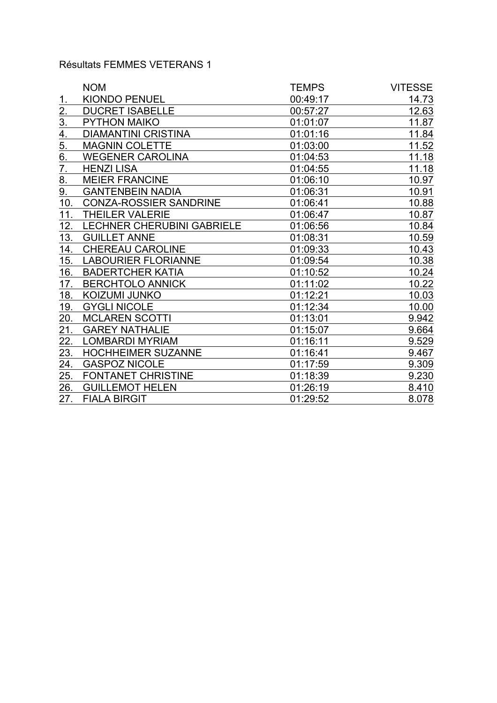# Résultats FEMMES VETERANS 1

|                   | <b>NOM</b>                        | <b>TEMPS</b> | <b>VITESSE</b> |
|-------------------|-----------------------------------|--------------|----------------|
|                   | <b>KIONDO PENUEL</b>              | 00:49:17     | 14.73          |
| <u>2.</u>         | <b>DUCRET ISABELLE</b>            | 00:57:27     | 12.63          |
| $\underline{3}$ . | <b>PYTHON MAIKO</b>               | 01:01:07     | 11.87          |
| $\overline{4}$ .  | <b>DIAMANTINI CRISTINA</b>        | 01:01:16     | 11.84          |
| 5.                | <b>MAGNIN COLETTE</b>             | 01:03:00     | 11.52          |
| $\overline{6}$ .  | <b>WEGENER CAROLINA</b>           | 01:04:53     | 11.18          |
| 7.                | <b>HENZI LISA</b>                 | 01:04:55     | 11.18          |
| 8.                | <b>MEIER FRANCINE</b>             | 01:06:10     | 10.97          |
| 9.                | <b>GANTENBEIN NADIA</b>           | 01:06:31     | 10.91          |
| 10.               | <b>CONZA-ROSSIER SANDRINE</b>     | 01:06:41     | 10.88          |
| 11.               | <b>THEILER VALERIE</b>            | 01:06:47     | 10.87          |
| 12.               | <b>LECHNER CHERUBINI GABRIELE</b> | 01:06:56     | 10.84          |
| 13.               | <b>GUILLET ANNE</b>               | 01:08:31     | 10.59          |
| 14.               | <b>CHEREAU CAROLINE</b>           | 01:09:33     | 10.43          |
| 15.               | <b>LABOURIER FLORIANNE</b>        | 01:09:54     | 10.38          |
| 16.               | <b>BADERTCHER KATIA</b>           | 01:10:52     | 10.24          |
| 17.               | <b>BERCHTOLO ANNICK</b>           | 01:11:02     | 10.22          |
| 18.               | KOIZUMI JUNKO                     | 01:12:21     | 10.03          |
| 19.               | <b>GYGLI NICOLE</b>               | 01:12:34     | 10.00          |
| 20.               | <b>MCLAREN SCOTTI</b>             | 01:13:01     | 9.942          |
| 21.               | <b>GAREY NATHALIE</b>             | 01:15:07     | 9.664          |
| 22.               | <b>LOMBARDI MYRIAM</b>            | 01:16:11     | 9.529          |
| 23.               | <b>HOCHHEIMER SUZANNE</b>         | 01:16:41     | 9.467          |
| 24.               | <b>GASPOZ NICOLE</b>              | 01:17:59     | 9.309          |
| 25.               | <b>FONTANET CHRISTINE</b>         | 01:18:39     | 9.230          |
| 26.               | <b>GUILLEMOT HELEN</b>            | 01:26:19     | 8.410          |
| 27.               | <b>FIALA BIRGIT</b>               | 01:29:52     | 8.078          |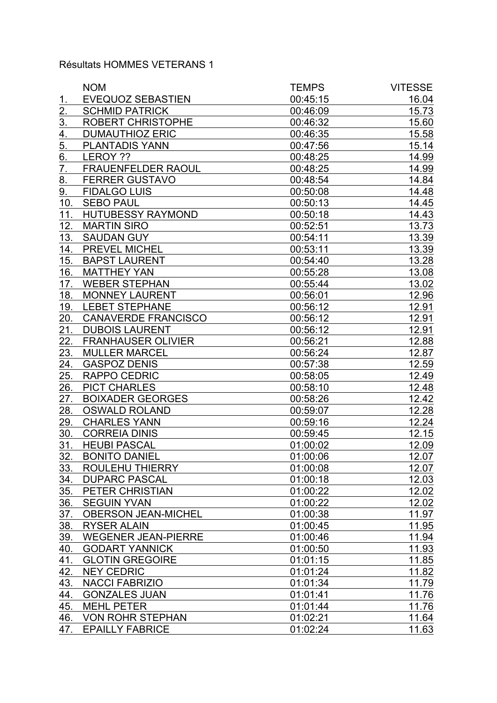### Résultats HOMMES VETERANS 1

|                    | <b>NOM</b>                 | <b>TEMPS</b> | <b>VITESSE</b> |
|--------------------|----------------------------|--------------|----------------|
| 1.                 | <b>EVEQUOZ SEBASTIEN</b>   | 00:45:15     | 16.04          |
| $\overline{2}$ .   | <b>SCHMID PATRICK</b>      | 00:46:09     | 15.73          |
| $\underline{3}$ .  | <b>ROBERT CHRISTOPHE</b>   | 00:46:32     | 15.60          |
| $\overline{4}$ .   | <b>DUMAUTHIOZ ERIC</b>     | 00:46:35     | 15.58          |
| 5.                 | <b>PLANTADIS YANN</b>      | 00:47:56     | 15.14          |
| $\underline{6}$ .  | LEROY ??                   | 00:48:25     | 14.99          |
| 7.                 | <b>FRAUENFELDER RAOUL</b>  | 00:48:25     | 14.99          |
| 8.                 | <b>FERRER GUSTAVO</b>      | 00:48:54     | 14.84          |
| 9.                 | <b>FIDALGO LUIS</b>        | 00:50:08     | 14.48          |
| 10.                | <b>SEBO PAUL</b>           | 00:50:13     | 14.45          |
| 11.                | <b>HUTUBESSY RAYMOND</b>   | 00:50:18     | 14.43          |
| 12.                | <b>MARTIN SIRO</b>         | 00:52:51     | 13.73          |
| 13.                | <b>SAUDAN GUY</b>          | 00:54:11     | 13.39          |
| 14.                | PREVEL MICHEL              | 00:53:11     | 13.39          |
| 15.                | <b>BAPST LAURENT</b>       | 00:54:40     | 13.28          |
| 16.                | <b>MATTHEY YAN</b>         | 00:55:28     | 13.08          |
| 17.                | <b>WEBER STEPHAN</b>       | 00:55:44     | 13.02          |
| 18.                | <b>MONNEY LAURENT</b>      | 00:56:01     | 12.96          |
| 19.                | <b>LEBET STEPHANE</b>      | 00:56:12     | 12.91          |
| 20.                | <b>CANAVERDE FRANCISCO</b> | 00:56:12     | 12.91          |
| 21.                | <b>DUBOIS LAURENT</b>      | 00:56:12     | 12.91          |
| 22.                | <b>FRANHAUSER OLIVIER</b>  | 00:56:21     | 12.88          |
| 23.                | <b>MULLER MARCEL</b>       | 00:56:24     | 12.87          |
| 24.                | <b>GASPOZ DENIS</b>        | 00:57:38     | 12.59          |
| 25.                | <b>RAPPO CEDRIC</b>        | 00:58:05     | 12.49          |
| 26.                | <b>PICT CHARLES</b>        | 00:58:10     | 12.48          |
| 27.                | <b>BOIXADER GEORGES</b>    | 00:58:26     | 12.42          |
| 28.                | <b>OSWALD ROLAND</b>       | 00:59:07     | 12.28          |
| 29.                | <b>CHARLES YANN</b>        | 00:59:16     | 12.24          |
| 30.                | <b>CORREIA DINIS</b>       | 00:59:45     | 12.15          |
| 31.                | <b>HEUBI PASCAL</b>        | 01:00:02     | 12.09          |
| $32$ .             | <b>BONITO DANIEL</b>       | 01:00:06     | 12.07          |
| 33.                | <b>ROULEHU THIERRY</b>     | 01:00:08     | 12.07          |
| 34.                | <b>DUPARC PASCAL</b>       | 01:00:18     | 12.03          |
| 35.                | PETER CHRISTIAN            | 01:00:22     | 12.02          |
| 36.                | <b>SEGUIN YVAN</b>         | 01:00:22     | 12.02          |
| 37.                | <b>OBERSON JEAN-MICHEL</b> | 01:00:38     | 11.97          |
| 38.                | <b>RYSER ALAIN</b>         | 01:00:45     | 11.95          |
| 39.                | <b>WEGENER JEAN-PIERRE</b> | 01:00:46     | 11.94          |
| 40.                | <b>GODART YANNICK</b>      | 01:00:50     | 11.93          |
| 41.                | <b>GLOTIN GREGOIRE</b>     | 01:01:15     | 11.85          |
| 42.                | <b>NEY CEDRIC</b>          | 01:01:24     | 11.82          |
| $\underline{43}$ . | <b>NACCI FABRIZIO</b>      | 01:01:34     | 11.79          |
| 44.                | <b>GONZALES JUAN</b>       | 01:01:41     | 11.76          |
| 45.                | <b>MEHL PETER</b>          | 01:01:44     | 11.76          |
| 46.                | <b>VON ROHR STEPHAN</b>    | 01:02:21     | 11.64          |
| 47.                | <b>EPAILLY FABRICE</b>     | 01:02:24     | 11.63          |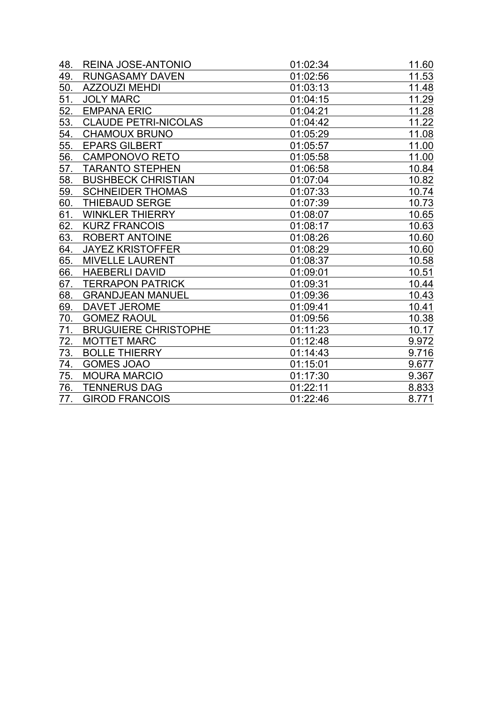| 48. | REINA JOSE-ANTONIO          | 01:02:34 | 11.60 |
|-----|-----------------------------|----------|-------|
| 49. | <b>RUNGASAMY DAVEN</b>      | 01:02:56 | 11.53 |
| 50. | <b>AZZOUZI MEHDI</b>        | 01:03:13 | 11.48 |
| 51. | <b>JOLY MARC</b>            | 01:04:15 | 11.29 |
| 52. | <b>EMPANA ERIC</b>          | 01:04:21 | 11.28 |
| 53. | <b>CLAUDE PETRI-NICOLAS</b> | 01:04:42 | 11.22 |
| 54. | <b>CHAMOUX BRUNO</b>        | 01:05:29 | 11.08 |
| 55. | <b>EPARS GILBERT</b>        | 01:05:57 | 11.00 |
| 56. | <b>CAMPONOVO RETO</b>       | 01:05:58 | 11.00 |
| 57. | <b>TARANTO STEPHEN</b>      | 01:06:58 | 10.84 |
| 58. | <b>BUSHBECK CHRISTIAN</b>   | 01:07:04 | 10.82 |
| 59. | <b>SCHNEIDER THOMAS</b>     | 01:07:33 | 10.74 |
| 60. | <b>THIEBAUD SERGE</b>       | 01:07:39 | 10.73 |
| 61. | <b>WINKLER THIERRY</b>      | 01:08:07 | 10.65 |
| 62. | <b>KURZ FRANCOIS</b>        | 01:08:17 | 10.63 |
| 63. | <b>ROBERT ANTOINE</b>       | 01:08:26 | 10.60 |
| 64. | <b>JAYEZ KRISTOFFER</b>     | 01:08:29 | 10.60 |
| 65. | <b>MIVELLE LAURENT</b>      | 01:08:37 | 10.58 |
| 66. | <b>HAEBERLI DAVID</b>       | 01:09:01 | 10.51 |
| 67. | <b>TERRAPON PATRICK</b>     | 01:09:31 | 10.44 |
| 68. | <b>GRANDJEAN MANUEL</b>     | 01:09:36 | 10.43 |
| 69. | <b>DAVET JEROME</b>         | 01:09:41 | 10.41 |
| 70. | <b>GOMEZ RAOUL</b>          | 01:09:56 | 10.38 |
| 71. | <b>BRUGUIERE CHRISTOPHE</b> | 01:11:23 | 10.17 |
| 72. | <b>MOTTET MARC</b>          | 01:12:48 | 9.972 |
| 73. | <b>BOLLE THIERRY</b>        | 01:14:43 | 9.716 |
| 74. | <b>GOMES JOAO</b>           | 01:15:01 | 9.677 |
| 75. | <b>MOURA MARCIO</b>         | 01:17:30 | 9.367 |
| 76. | <b>TENNERUS DAG</b>         | 01:22:11 | 8.833 |
| 77. | <b>GIROD FRANCOIS</b>       | 01:22:46 | 8.771 |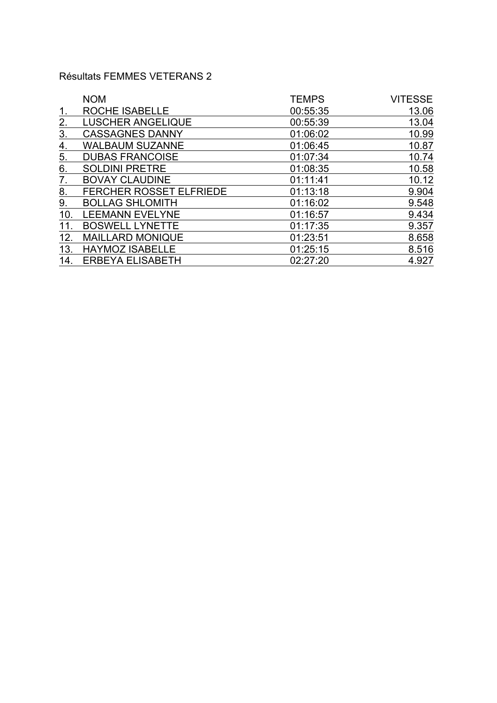#### Résultats FEMMES VETERANS 2

|                   | <b>NOM</b>                     | <b>TEMPS</b> | <b>VITESSE</b> |
|-------------------|--------------------------------|--------------|----------------|
| 1.                | ROCHE ISABELLE                 | 00:55:35     | 13.06          |
| 2.                | <b>LUSCHER ANGELIQUE</b>       | 00:55:39     | 13.04          |
| $\underline{3}$ . | <b>CASSAGNES DANNY</b>         | 01:06:02     | 10.99          |
| $\underline{4}$ . | <b>WALBAUM SUZANNE</b>         | 01:06:45     | 10.87          |
| $\underline{5}$ . | <b>DUBAS FRANCOISE</b>         | 01:07:34     | 10.74          |
| 6.                | <b>SOLDINI PRETRE</b>          | 01:08:35     | 10.58          |
| 7.                | <b>BOVAY CLAUDINE</b>          | 01:11:41     | 10.12          |
| 8.                | <b>FERCHER ROSSET ELFRIEDE</b> | 01:13:18     | 9.904          |
| 9.                | <b>BOLLAG SHLOMITH</b>         | 01:16:02     | 9.548          |
| 10.               | <b>LEEMANN EVELYNE</b>         | 01:16:57     | 9.434          |
| 11.               | <b>BOSWELL LYNETTE</b>         | 01:17:35     | 9.357          |
| 12.               | <b>MAILLARD MONIQUE</b>        | 01:23:51     | 8.658          |
| 13.               | <b>HAYMOZ ISABELLE</b>         | 01:25:15     | 8.516          |
| 14.               | <b>ERBEYA ELISABETH</b>        | 02:27:20     | 4.927          |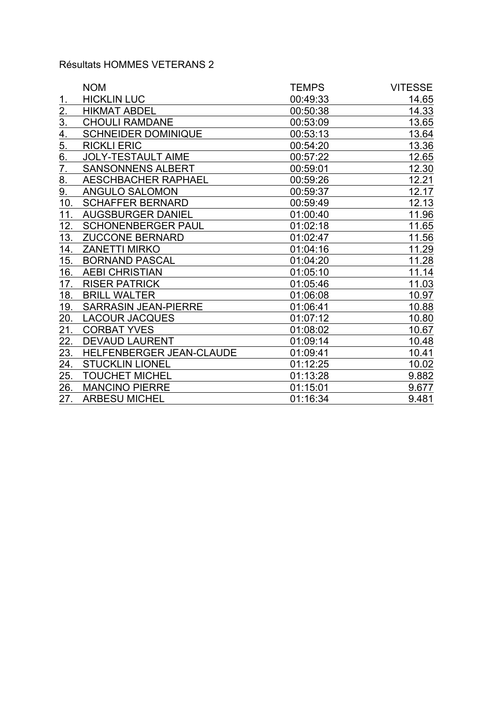## Résultats HOMMES VETERANS 2

|                  | <b>NOM</b>                  | <b>TEMPS</b> | <b>VITESSE</b> |
|------------------|-----------------------------|--------------|----------------|
| 1.               | <b>HICKLIN LUC</b>          | 00:49:33     | 14.65          |
| 2.               | <b>HIKMAT ABDEL</b>         | 00:50:38     | 14.33          |
| <u>3.</u>        | <b>CHOULI RAMDANE</b>       | 00:53:09     | 13.65          |
| 4.               | <b>SCHNEIDER DOMINIQUE</b>  | 00:53:13     | 13.64          |
| 5.               | <b>RICKLI ERIC</b>          | 00:54:20     | 13.36          |
| $\overline{6}$ . | <b>JOLY-TESTAULT AIME</b>   | 00:57:22     | 12.65          |
| 7.               | <b>SANSONNENS ALBERT</b>    | 00:59:01     | 12.30          |
| 8.               | <b>AESCHBACHER RAPHAEL</b>  | 00:59:26     | 12.21          |
| 9.               | ANGULO SALOMON              | 00:59:37     | 12.17          |
| 10.              | <b>SCHAFFER BERNARD</b>     | 00:59:49     | 12.13          |
| 11.              | <b>AUGSBURGER DANIEL</b>    | 01:00:40     | 11.96          |
| 12.              | <b>SCHONENBERGER PAUL</b>   | 01:02:18     | 11.65          |
| 13.              | <b>ZUCCONE BERNARD</b>      | 01:02:47     | 11.56          |
| 14.              | <b>ZANETTI MIRKO</b>        | 01:04:16     | 11.29          |
| 15.              | <b>BORNAND PASCAL</b>       | 01:04:20     | 11.28          |
| 16.              | <b>AEBI CHRISTIAN</b>       | 01:05:10     | 11.14          |
| 17.              | <b>RISER PATRICK</b>        | 01:05:46     | 11.03          |
| 18.              | <b>BRILL WALTER</b>         | 01:06:08     | 10.97          |
| 19.              | <b>SARRASIN JEAN-PIERRE</b> | 01:06:41     | 10.88          |
| 20.              | <b>LACOUR JACQUES</b>       | 01:07:12     | 10.80          |
| 21.              | <b>CORBAT YVES</b>          | 01:08:02     | 10.67          |
| 22.              | <b>DEVAUD LAURENT</b>       | 01:09:14     | 10.48          |
| 23.              | HELFENBERGER JEAN-CLAUDE    | 01:09:41     | 10.41          |
| 24.              | <b>STUCKLIN LIONEL</b>      | 01:12:25     | 10.02          |
| 25.              | <b>TOUCHET MICHEL</b>       | 01:13:28     | 9.882          |
| 26.              | <b>MANCINO PIERRE</b>       | 01:15:01     | 9.677          |
| 27.              | <b>ARBESU MICHEL</b>        | 01:16:34     | 9.481          |